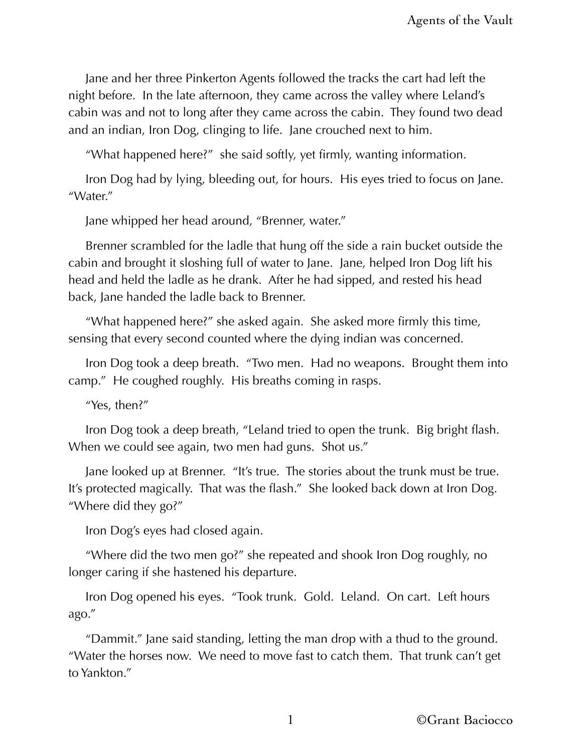Jane and her three Pinkerton Agents followed the tracks the cart had left the night before. In the late afternoon, they came across the valley where Leland's cabin was and not to long after they came across the cabin. They found two dead and an indian, Iron Dog, clinging to life. Jane crouched next to him.

"What happened here?" she said softly, yet firmly, wanting information.

Iron Dog had by lying, bleeding out, for hours. His eyes tried to focus on Jane. "Water."

Jane whipped her head around, "Brenner, water."

Brenner scrambled for the ladle that hung off the side a rain bucket outside the cabin and brought it sloshing full of water to Jane. Jane, helped Iron Dog lift his head and held the ladle as he drank. After he had sipped, and rested his head back, Jane handed the ladle back to Brenner.

"What happened here?" she asked again. She asked more firmly this time, sensing that every second counted where the dying indian was concerned.

Iron Dog took a deep breath. "Two men. Had no weapons. Brought them into camp." He coughed roughly. His breaths coming in rasps.

"Yes, then?"

Iron Dog took a deep breath, "Leland tried to open the trunk. Big bright flash. When we could see again, two men had guns. Shot us."

Jane looked up at Brenner. "It's true. The stories about the trunk must be true. It's protected magically. That was the flash." She looked back down at Iron Dog. "Where did they go?"

Iron Dog's eyes had closed again.

"Where did the two men go?" she repeated and shook Iron Dog roughly, no longer caring if she hastened his departure.

Iron Dog opened his eyes. "Took trunk. Gold. Leland. On cart. Left hours ago."

"Dammit." Jane said standing, letting the man drop with a thud to the ground. "Water the horses now. We need to move fast to catch them. That trunk can't get to Yankton."